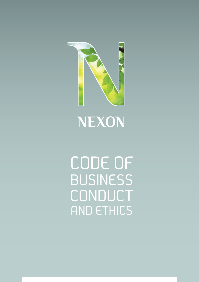

# NEXON

CODE OF **BUSINESS** CONDUCT AND ETHICS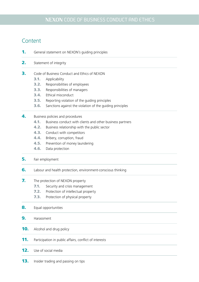# Content

- **1.** General statement on NEXON's quiding principles
- 2. Statement of integrity
- **3.** Code of Business Conduct and Ethics of NEXON
	- 3.1. Applicability
	- **3.2.** Responsibilities of employees
	- 3.3. Responsibilities of managers
	- **3.4.** Ethical misconduct
	- **3.5.** Reporting violation of the guiding principles
	- 3.6. Sanctions against the violation of the guiding principles
- 4. Business policies and procedures
	- 4.1. Business conduct with clients and other business partners
	- 4.2. Business relationship with the public sector
	- **4.3.** Conduct with competitors
	- 4.4. Bribery, corruption, fraud
	- **4.5.** Prevention of money laundering
	- 4.6. Data protection
- **5.** Fair employment
- **6.** Labour and health protection, environment-conscious thinking
- 7. The protection of NEXON property
	- **7.1.** Security and crisis management
	- 7.2. Protection of intellectual property
	- 7.3. Protection of physical property
- 8. Equal opportunities
- 9. Harassment
- **10.** Alcohol and drug policy
- **11.** Participation in public affairs, conflict of interests
- **12.** Use of social media
- **13.** Insider trading and passing on tips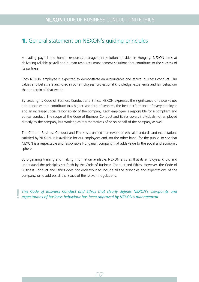# 1. General statement on NEXON's guiding principles

A leading payroll and human resources management solution provider in Hungary, NEXON aims at delivering reliable payroll and human resources management solutions that contribute to the success of its partners.

Each NEXON employee is expected to demonstrate an accountable and ethical business conduct. Our values and beliefs are anchored in our employees' professional knowledge, experience and fair behaviour that underpin all that we do.

By creating its Code of Business Conduct and Ethics, NEXON expresses the significance of those values and principles that contribute to a higher standard of services, the best performance of every employee and an increased social responsibility of the company. Each employee is responsible for a compliant and ethical conduct. The scope of the Code of Business Conduct and Ethics covers individuals not employed directly by the company but working as representatives of or on behalf of the company as well.

The Code of Business Conduct and Ethics is a unified framework of ethical standards and expectations satisfied by NEXON. It is available for our employees and, on the other hand, for the public, to see that NEXON is a respectable and responsible Hungarian company that adds value to the social and economic sphere.

By organising training and making information available, NEXON ensures that its employees know and understand the principles set forth by the Code of Business Conduct and Ethics. However, the Code of Business Conduct and Ethics does not endeavour to include all the principles and expectations of the company, or to address all the issues of the relevant regulations.

*This Code of Business Conduct and Ethics that clearly defines NEXON's viewpoints and* **!** *expectations of business behaviour has been approved by NEXON's management.*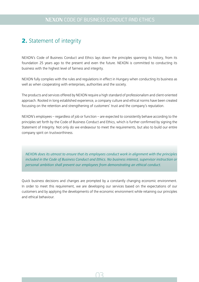# 2. Statement of integrity

NEXON's Code of Business Conduct and Ethics lays down the principles spanning its history, from its foundation 25 years ago to the present and even the future. NEXON is committed to conducting its business with the highest level of fairness and integrity.

NEXON fully complies with the rules and regulations in effect in Hungary when conducting its business as well as when cooperating with enterprises, authorities and the society.

The products and services offered by NEXON require a high standard of professionalism and client-oriented approach. Rooted in long established experience, a company culture and ethical norms have been created focussing on the retention and strengthening of customers' trust and the company's reputation.

NEXON's employees – regardless of job or function – are expected to consistently behave according to the principles set forth by the Code of Business Conduct and Ethics, which is further confirmed by signing the Statement of Integrity. Not only do we endeavour to meet the requirements, but also to build our entire company spirit on trustworthiness.

*NEXON does its utmost to ensure that its employees conduct work in alignment with the principles included in the Code of Business Conduct and Ethics. No business interest, supervisor instruction or personal ambition shall prevent our employees from demonstrating an ethical conduct.*

Quick business decisions and changes are prompted by a constantly changing economic environment. In order to meet this requirement, we are developing our services based on the expectations of our customers and by applying the developments of the economic environment while retaining our principles and ethical behaviour.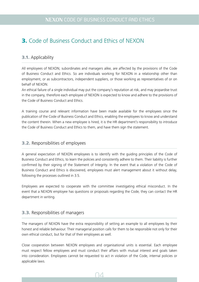# 3. Code of Business Conduct and Ethics of NEXON

#### 3.1. Applicability

All employees of NEXON, subordinates and managers alike, are affected by the provisions of the Code of Business Conduct and Ethics. So are individuals working for NEXON in a relationship other than employment, or as subcontractors, independent suppliers, or those working as representatives of or on behalf of NEXON.

An ethical failure of a single individual may put the company's reputation at risk, and may jeopardise trust in the company, therefore each employee of NEXON is expected to know and adhere to the provisions of the Code of Business Conduct and Ethics.

A training course and relevant information have been made available for the employees since the publication of the Code of Business Conduct and Ethics, enabling the employees to know and understand the content therein. When a new employee is hired, it is the HR department's responsibility to introduce the Code of Business Conduct and Ethics to them, and have them sign the statement.

#### 3.2. Responsibilities of employees

A general expectation of NEXON employees is to identify with the guiding principles of the Code of Business Conduct and Ethics, to learn the policies and consistently adhere to them. Their liability is further confirmed by their signing of the Statement of Integrity. In the event that a violation of the Code of Business Conduct and Ethics is discovered, employees must alert management about it without delay, following the processes outlined in 3.5.

Employees are expected to cooperate with the committee investigating ethical misconduct. In the event that a NEXON employee has questions or proposals regarding the Code, they can contact the HR department in writing.

#### 3.3. Responsibilities of managers

The managers of NEXON have the extra responsibility of setting an example to all employees by their honest and reliable behaviour. Their managerial position calls for them to be responsible not only for their own ethical conduct, but for that of their employees as well.

Close cooperation between NEXON employees and organisational units is essential. Each employee must respect fellow employees and must conduct their affairs with mutual interest and goals taken into consideration. Employees cannot be requested to act in violation of the Code, internal policies or applicable laws.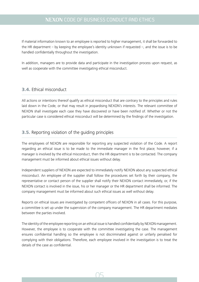If material information known to an employee is reported to higher management, it shall be forwarded to the HR department – by keeping the employee's identity unknown if requested  $-$ , and the issue is to be handled confidentially throughout the investigation.

In addition, managers are to provide data and participate in the investigation process upon request, as well as cooperate with the committee investigating ethical misconduct.

#### 3.4. Ethical misconduct

All actions or intentions thereof qualify as ethical misconduct that are contrary to the principles and rules laid down in the Code, or that may result in jeopardising NEXON's interests. The relevant committee of NEXON shall investigate each case they have discovered or have been notified of. Whether or not the particular case is considered ethical misconduct will be determined by the findings of the investigation.

#### 3.5. Reporting violation of the guiding principles

The employees of NEXON are responsible for reporting any suspected violation of the Code. A report regarding an ethical issue is to be made to the immediate manager in the first place; however, if a manager is involved by the ethical misconduct, then the HR department is to be contacted. The company management must be informed about ethical issues without delay.

Independent suppliers of NEXON are expected to immediately notify NEXON about any suspected ethical misconduct. An employee of the supplier shall follow the procedures set forth by their company, the representative or contact person of the supplier shall notify their NEXON contact immediately, or, if the NEXON contact is involved in the issue, his or her manager or the HR department shall be informed. The company management must be informed about such ethical issues as well without delay.

Reports on ethical issues are investigated by competent officers of NEXON in all cases. For this purpose, a committee is set up under the supervision of the company management. The HR department mediates between the parties involved.

The identity of the employee reporting on an ethical issue is handled confidentially by NEXON management. However, the employee is to cooperate with the committee investigating the case. The management ensures confidential handling so the employee is not discriminated against or unfairly penalised for complying with their obligations. Therefore, each employee involved in the investigation is to treat the details of the case as confidential.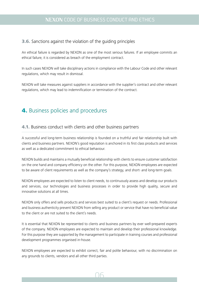#### 3.6. Sanctions against the violation of the guiding principles

An ethical failure is regarded by NEXON as one of the most serious failures. If an employee commits an ethical failure, it is considered as breach of the employment contract.

In such cases NEXON will take disciplinary actions in compliance with the Labour Code and other relevant regulations, which may result in dismissal.

NEXON will take measures against suppliers in accordance with the supplier's contract and other relevant regulations, which may lead to indemnification or termination of the contract.

# 4. Business policies and procedures

#### 4.1. Business conduct with clients and other business partners

A successful and long-term business relationship is founded on a truthful and fair relationship built with clients and business partners. NEXON's good reputation is anchored in its first class products and services as well as a dedicated commitment to ethical behaviour.

NEXON builds and maintains a mutually beneficial relationship with clients to ensure customer satisfaction on the one hand and company efficiency on the other. For this purpose, NEXON employees are expected to be aware of client requirements as well as the company's strategy, and short- and long-term goals.

NEXON employees are expected to listen to client needs, to continuously assess and develop our products and services, our technologies and business processes in order to provide high quality, secure and innovative solutions at all times.

NEXON only offers and sells products and services best suited to a client's request or needs. Professional and business authenticity prevent NEXON from selling any product or service that have no beneficial value to the client or are not suited to the client's needs.

It is essential that NEXON be represented to clients and business partners by ever well-prepared experts of the company. NEXON employees are expected to maintain and develop their professional knowledge. For this purpose they are supported by the management to participate in training courses and professional development programmes organised in-house.

NEXON employees are expected to exhibit correct, fair and polite behaviour, with no discrimination on any grounds to clients, vendors and all other third parties.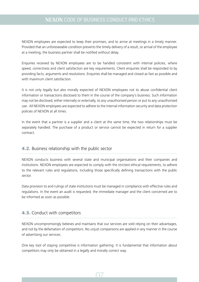NEXON employees are expected to keep their promises, and to arrive at meetings in a timely manner. Provided that an unforeseeable condition prevents the timely delivery of a result, or arrival of the employee at a meeting, the business partner shall be notified without delay.

Enquiries received by NEXON employees are to be handled consistent with internal policies, where speed, correctness and client satisfaction are key requirements. Client enquiries shall be responded to by providing facts, arguments and resolutions. Enquiries shall be managed and closed as fast as possible and with maximum client satisfaction.

It is not only legally but also morally expected of NEXON employees not to abuse confidential client information or transactions disclosed to them in the course of the company's business. Such information may not be disclosed, either internally or externally, to any unauthorised person or put to any unauthorised use. All NEXON employees are expected to adhere to the internal information security and data protection policies of NEXON at all times.

In the event that a partner is a supplier and a client at the same time, the two relationships must be separately handled. The purchase of a product or service cannot be expected in return for a supplier contract.

#### 4.2. Business relationship with the public sector

NEXON conducts business with several state and municipal organisations and their companies and institutions. NEXON employees are expected to comply with the strictest ethical requirements, to adhere to the relevant rules and regulations, including those specifically defining transactions with the public sector.

Data provision to and rulings of state institutions must be managed in compliance with effective rules and regulations. In the event an audit is requested, the immediate manager and the client concerned are to be informed as soon as possible.

#### 4.3. Conduct with competitors

NEXON uncompromisingly believes and maintains that our services are sold relying on their advantages, and not by the defamation of competitors. No unjust comparisons are applied in any manner in the course of advertising our services.

One key tool of staying competitive is information gathering. It is fundamental that information about competitors may only be obtained in a legally and morally correct way.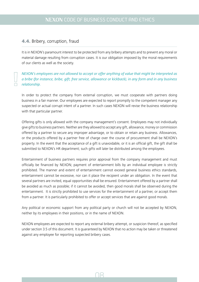#### 4.4. Bribery, corruption, fraud

 $\Box$ 

It is in NEXON's paramount interest to be protected from any bribery attempts and to prevent any moral or material damage resulting from corruption cases. It is our obligation imposed by the moral requirements of our clients as well as the society.

#### *NEXON's employees are not allowed to accept or offer anything of value that might be interpreted as a bribe (for instance, bribe, gift, free service, allowance or kickback), in any form and in any business relationship.*

In order to protect the company from external corruption, we must cooperate with partners doing business in a fair manner. Our employees are expected to report promptly to the competent manager any suspected or actual corrupt intent of a partner. In such cases NEXON will revise the business relationship with that particular partner.

Offering gifts is only allowed with the company management's consent. Employees may not individually give gifts to business partners. Neither are they allowed to accept any gift, allowance, money or commission offered by a partner to secure any improper advantage, or to obtain or retain any business. Allowances, or the products offered by a partner free of charge over the course of procurement shall be NEXON's property. In the event that the acceptance of a gift is unavoidable, or it is an official gift, the gift shall be submitted to NEXON's HR department; such gifts will later be distributed among the employees.

Entertainment of business partners requires prior approval from the company management and must officially be financed by NEXON; payment of entertainment bills by an individual employee is strictly prohibited. The manner and extent of entertainment cannot exceed general business ethics standards, entertainment cannot be excessive, nor can it place the recipient under an obligation. In the event that several partners are invited, equal opportunities shall be ensured. Entertainment offered by a partner shall be avoided as much as possible; if it cannot be avoided, then good morals shall be observed during the entertainment. It is strictly prohibited to use services for the entertainment of a partner, or accept them from a partner. It is particularly prohibited to offer or accept services that are against good morals.

Any political or economic support from any political party or church will not be accepted by NEXON, neither by its employees in their positions, or in the name of NEXON.

NEXON employees are expected to report any external bribery attempt, or suspicion thereof, as specified under section 3.5 of this document. It is guaranteed by NEXON that no action may be taken or threatened against any employee for reporting suspected bribery cases.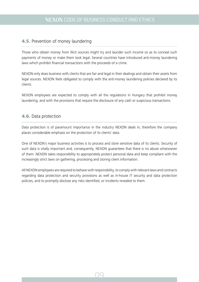#### 4.5. Prevention of money laundering

Those who obtain money from illicit sources might try and launder such income so as to conceal such payments of money or make them look legal. Several countries have introduced anti-money laundering laws which prohibit financial transactions with the proceeds of a crime.

NEXON only does business with clients that are fair and legal in their dealings and obtain their assets from legal sources. NEXON feels obligated to comply with the anti-money laundering policies declared by its clients.

NEXON employees are expected to comply with all the regulations in Hungary that prohibit money laundering, and with the provisions that require the disclosure of any cash or suspicious transactions.

#### 4.6. Data protection

Data protection is of paramount importance in the industry NEXON deals in, therefore the company places considerable emphasis on the protection of its clients' data.

One of NEXON's major business activities is to process and store sensitive data of its clients. Security of such data is vitally important and, consequently, NEXON guarantees that there is no abuse whatsoever of them. NEXON takes responsibility to appropriately protect personal data and keep compliant with the increasingly strict laws on gathering, processing and storing client information.

All NEXON employees are required to behave with responsibility, to comply with relevant laws and contracts regarding data protection and security provisions as well as in-house IT security and data protection policies, and to promptly disclose any risks identified, or incidents revealed to them.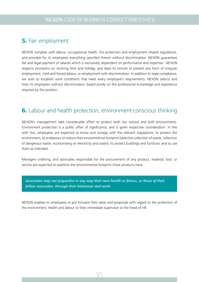# **5.** Fair employment

NEXON complies with labour, occupational health, fire protection and employment related regulations, and provides for its employees everything specified therein without discrimination. NEXON guarantees fair and legal payment of salaries which is exclusively dependent on performance and expertise. NEXON respects provisions on working time and holiday, and does its utmost to prevent any form of irregular employment, child and forced labour, or employment with discrimination. In addition to legal compliance, we wish to establish work conditions that meet every employee's requirements. NEXON selects and hires its employees without discrimination, based purely on the professional knowledge and experience required by the position.

# 6. Labour and health protection, environment-conscious thinking

NEXON's management take considerable effort to protect both our natural and built environments. Environment protection is a public affair of significance, and is given respective consideration. In line with this, employees are expected to know and comply with the relevant regulations, to protect the environment, to endeavour to reduce their environmental footprint (selective collection of waste, collection of dangerous waste, economising on electricity and water), to protect buildings and furniture, and to use them as intended.

Managers ordering, and associates responsible for the procurement of any product, material, tool, or service are expected to examine the environmental footprint these products have.

*Associates may not jeopardise in any way their own health or fitness, or those of their fellow associates, through their behaviour and work.*

NEXON enables its employees to put forward their ideas and proposals with regard to the protection of the environment, health and labour to their immediate supervisor or the head of HR.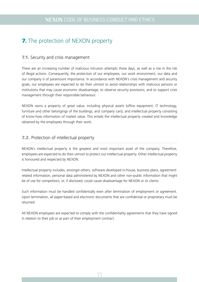# **7.** The protection of NEXON property

#### **7.1.** Security and crisis management

There are an increasing number of malicious intrusion attempts these days, as well as a rise in the risk of illegal actions. Consequently, the protection of our employees, our work environment, our data and our company is of paramount importance. In accordance with NEXON's crisis management and security goals, our employees are expected to do their utmost to avoid relationships with malicious persons or institutions that may cause economic disadvantage, to observe security provisions, and to support crisis management through their responsible behaviour.

NEXON owns a property of great value, including physical assets (office equipment, IT technology, furniture and other belongings of the buildings, and company cars), and intellectual property consisting of know-how information of market value. This entails the intellectual property created and knowledge obtained by the employees through their work.

#### 7.2. Protection of intellectual property

NEXON's intellectual property is the greatest and most important asset of the company. Therefore, employees are expected to do their utmost to protect our intellectual property. Other intellectual property is honoured and respected by NEXON.

Intellectual property includes, amongst others, software developed in-house, business plans, agreementrelated information, personal data administered by NEXON and other non-public information that might be of use for competitors, or, if disclosed, could cause disadvantage for NEXON or its clients.

Such information must be handled confidentially even after termination of employment or agreement. Upon termination, all paper-based and electronic documents that are confidential or proprietary must be returned.

All NEXON employees are expected to comply with the confidentiality agreements that they have signed in relation to their job or as part of their employment contract.

11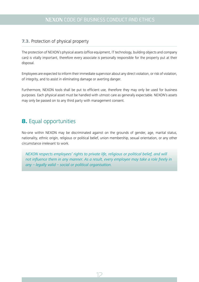#### 7.3. Protection of physical property

The protection of NEXON's physical assets (office equipment, IT technology, building objects and company cars) is vitally important, therefore every associate is personally responsible for the property put at their disposal.

Employees are expected to inform their immediate supervisor about any direct violation, or risk of violation, of integrity, and to assist in eliminating damage or averting danger.

Furthermore, NEXON tools shall be put to efficient use, therefore they may only be used for business purposes. Each physical asset must be handled with utmost care as generally expectable. NEXON's assets may only be passed on to any third party with management consent.

# 8. Equal opportunities

No-one within NEXON may be discriminated against on the grounds of gender, age, marital status, nationality, ethnic origin, religious or political belief, union membership, sexual orientation, or any other circumstance irrelevant to work.

*NEXON respects employees' rights to private life, religious or political belief, and will not influence them in any manner. As a result, every employee may take a role freely in any – legally valid – social or political organisation.*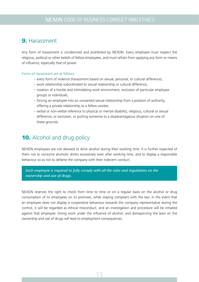## 9. Harassment

Any form of harassment is condemned and prohibited by NEXON. Every employee must respect the religious, political or other beliefs of fellow employees, and must refrain from applying any form or means of influence, especially that of power.

#### Forms of harassment are as follows:

- every form of violence (harassment based on sexual, personal, or cultural difference),
- work relationship subordinated to sexual relationship or cultural difference,
- creation of a hostile and intimidating work environment, exclusion of particular employee groups or individuals,
- forcing an employee into an unwanted sexual relationship from a position of authority, offering a private relationship to a fellow worker,
- verbal or non-verbal reference to physical or mental disability, religious, cultural or sexual difference, or exclusion, or putting someone to a disadvantageous situation on one of these grounds.

# **10.** Alcohol and drug policy

NEXON employees are not allowed to drink alcohol during their working time. It is further expected of them not to consume alcoholic drinks excessively even after working time, and to display a responsible behaviour so as not to defame the company with their indecent conduct.

*Each employee is required to fully comply with all the rules and regulations on the ownership and use of drugs.*

NEXON reserves the right to check from time to time or on a regular basis on the alcohol or drug consumption of its employees on its premises, while staying compliant with the law. In the event that an employee does not display a cooperative behaviour towards the company representative during the control, it will be regarded as ethical misconduct, and an investigation and procedure will be initiated against that employee. Doing work under the influence of alcohol, and disrespecting the laws on the ownership and use of drugs will lead to employment consequences.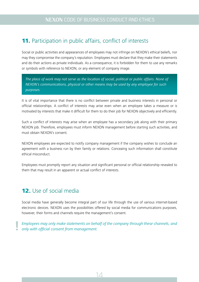# 11. Participation in public affairs, conflict of interests

Social or public activities and appearances of employees may not infringe on NEXON's ethical beliefs, nor may they compromise the company's reputation. Employees must declare that they make their statements and do their actions as private individuals. As a consequence, it is forbidden for them to use any remarks or symbols with reference to NEXON, or any element of company image.

*The place of work may not serve as the location of social, political or public affairs. None of NEXON's communications, physical or other means may be used by any employee for such purposes.*

It is of vital importance that there is no conflict between private and business interests in personal or official relationships. A conflict of interests may arise even when an employee takes a measure or is motivated by interests that make it difficult for them to do their job for NEXON objectively and efficiently.

Such a conflict of interests may arise when an employee has a secondary job along with their primary NEXON job. Therefore, employees must inform NEXON management before starting such activities, and must obtain NEXON's consent.

NEXON employees are expected to notify company management if the company wishes to conclude an agreement with a business run by their family or relations. Conceaing such information shall constitute ethical misconduct.

Employees must promptly report any situation and significant personal or official relationship revealed to them that may result in an apparent or actual conflict of interests.

# 12. Use of social media

Social media have generally become integral part of our life through the use of various internet-based electronic devices. NEXON uses the possibilities offered by social media for communications purposes, however, their forms and channels require the management's consent.

*Employees may only make statements on behalf of the company through these channels, and* **!** *only with official consent from management.*

14